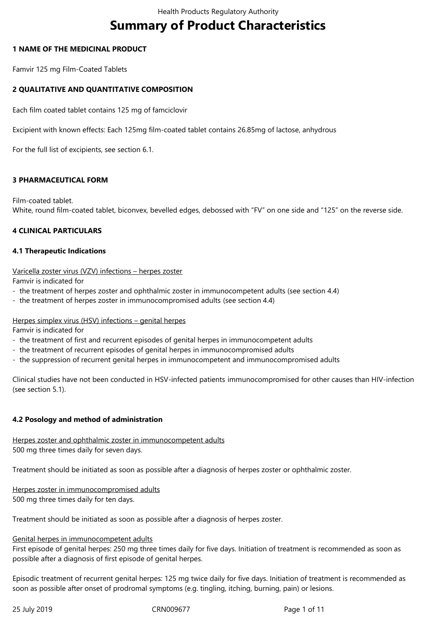# **Summary of Product Characteristics**

## **1 NAME OF THE MEDICINAL PRODUCT**

Famvir 125 mg Film-Coated Tablets

## **2 QUALITATIVE AND QUANTITATIVE COMPOSITION**

Each film coated tablet contains 125 mg of famciclovir

Excipient with known effects: Each 125mg film-coated tablet contains 26.85mg of lactose, anhydrous

For the full list of excipients, see section 6.1.

## **3 PHARMACEUTICAL FORM**

Film-coated tablet. White, round film-coated tablet, biconvex, bevelled edges, debossed with "FV" on one side and "125" on the reverse side.

## **4 CLINICAL PARTICULARS**

## **4.1 Therapeutic Indications**

## Varicella zoster virus (VZV) infections – herpes zoster

Famvir is indicated for

- the treatment of herpes zoster and ophthalmic zoster in immunocompetent adults (see section 4.4)
- the treatment of herpes zoster in immunocompromised adults (see section 4.4)

## Herpes simplex virus (HSV) infections – genital herpes

Famvir is indicated for

- the treatment of first and recurrent episodes of genital herpes in immunocompetent adults
- the treatment of recurrent episodes of genital herpes in immunocompromised adults
- the suppression of recurrent genital herpes in immunocompetent and immunocompromised adults

Clinical studies have not been conducted in HSV-infected patients immunocompromised for other causes than HIV-infection (see section 5.1).

# **4.2 Posology and method of administration**

Herpes zoster and ophthalmic zoster in immunocompetent adults 500 mg three times daily for seven days.

Treatment should be initiated as soon as possible after a diagnosis of herpes zoster or ophthalmic zoster.

Herpes zoster in immunocompromised adults 500 mg three times daily for ten days.

Treatment should be initiated as soon as possible after a diagnosis of herpes zoster.

## Genital herpes in immunocompetent adults

First episode of genital herpes: 250 mg three times daily for five days. Initiation of treatment is recommended as soon as possible after a diagnosis of first episode of genital herpes.

Episodic treatment of recurrent genital herpes: 125 mg twice daily for five days. Initiation of treatment is recommended as soon as possible after onset of prodromal symptoms (e.g. tingling, itching, burning, pain) or lesions.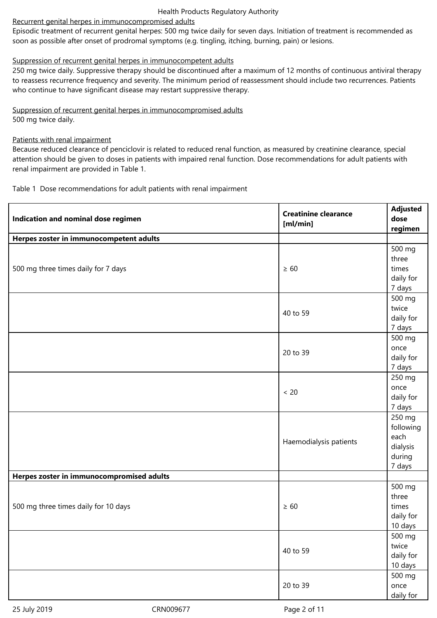# Recurrent genital herpes in immunocompromised adults

Episodic treatment of recurrent genital herpes: 500 mg twice daily for seven days. Initiation of treatment is recommended as soon as possible after onset of prodromal symptoms (e.g. tingling, itching, burning, pain) or lesions.

# Suppression of recurrent genital herpes in immunocompetent adults

250 mg twice daily. Suppressive therapy should be discontinued after a maximum of 12 months of continuous antiviral therapy to reassess recurrence frequency and severity. The minimum period of reassessment should include two recurrences. Patients who continue to have significant disease may restart suppressive therapy.

# Suppression of recurrent genital herpes in immunocompromised adults

500 mg twice daily.

# Patients with renal impairment

Because reduced clearance of penciclovir is related to reduced renal function, as measured by creatinine clearance, special attention should be given to doses in patients with impaired renal function. Dose recommendations for adult patients with renal impairment are provided in Table 1.

Table 1 Dose recommendations for adult patients with renal impairment

| Indication and nominal dose regimen       | <b>Creatinine clearance</b><br>[m]/min] | <b>Adjusted</b><br>dose<br>regimen |
|-------------------------------------------|-----------------------------------------|------------------------------------|
| Herpes zoster in immunocompetent adults   |                                         |                                    |
|                                           |                                         | 500 mg                             |
|                                           |                                         | three                              |
| 500 mg three times daily for 7 days       | $\geq 60$                               | times                              |
|                                           |                                         | daily for                          |
|                                           |                                         | 7 days                             |
|                                           |                                         | 500 mg                             |
|                                           | 40 to 59                                | twice                              |
|                                           |                                         | daily for                          |
|                                           |                                         | 7 days                             |
|                                           |                                         | 500 mg                             |
|                                           | 20 to 39                                | once                               |
|                                           |                                         | daily for                          |
|                                           |                                         | 7 days                             |
|                                           |                                         | 250 mg                             |
|                                           | $< 20$                                  | once                               |
|                                           |                                         | daily for                          |
|                                           |                                         | 7 days                             |
|                                           |                                         | 250 mg                             |
|                                           |                                         | following<br>each                  |
|                                           | Haemodialysis patients                  | dialysis                           |
|                                           |                                         | during                             |
|                                           |                                         | 7 days                             |
| Herpes zoster in immunocompromised adults |                                         |                                    |
|                                           |                                         | 500 mg                             |
|                                           |                                         | three                              |
| 500 mg three times daily for 10 days      | $\geq 60$                               | times                              |
|                                           |                                         | daily for                          |
|                                           |                                         | 10 days                            |
|                                           |                                         | 500 mg                             |
|                                           | 40 to 59                                | twice                              |
|                                           |                                         | daily for                          |
|                                           |                                         | 10 days                            |
|                                           |                                         | 500 mg                             |
|                                           | 20 to 39                                | once                               |
|                                           |                                         | daily for                          |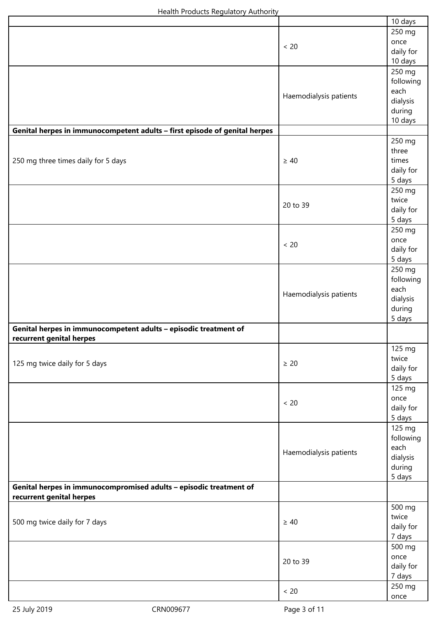|                                                                                                |                        | 10 days                                                      |
|------------------------------------------------------------------------------------------------|------------------------|--------------------------------------------------------------|
|                                                                                                | $< 20$                 | 250 mg<br>once<br>daily for<br>10 days                       |
|                                                                                                | Haemodialysis patients | 250 mg<br>following<br>each<br>dialysis<br>during<br>10 days |
| Genital herpes in immunocompetent adults - first episode of genital herpes                     |                        |                                                              |
| 250 mg three times daily for 5 days                                                            | $\geq 40$              | 250 mg<br>three<br>times<br>daily for<br>5 days              |
|                                                                                                | 20 to 39               | 250 mg<br>twice<br>daily for<br>5 days                       |
|                                                                                                | $< 20$                 | 250 mg<br>once<br>daily for<br>5 days                        |
|                                                                                                | Haemodialysis patients | 250 mg<br>following<br>each<br>dialysis<br>during<br>5 days  |
| Genital herpes in immunocompetent adults - episodic treatment of<br>recurrent genital herpes   |                        |                                                              |
| 125 mg twice daily for 5 days                                                                  | $\geq 20$              | 125 mg<br>twice<br>daily for<br>5 days                       |
|                                                                                                | $< 20$                 | 125 mg<br>once<br>daily for<br>5 days                        |
|                                                                                                | Haemodialysis patients | 125 mg<br>following<br>each<br>dialysis<br>during<br>5 days  |
| Genital herpes in immunocompromised adults - episodic treatment of<br>recurrent genital herpes |                        |                                                              |
| 500 mg twice daily for 7 days                                                                  | $\geq 40$              | 500 mg<br>twice<br>daily for<br>7 days                       |
|                                                                                                | 20 to 39               | 500 mg<br>once<br>daily for<br>7 days                        |
|                                                                                                | $< 20$                 | 250 mg<br>once                                               |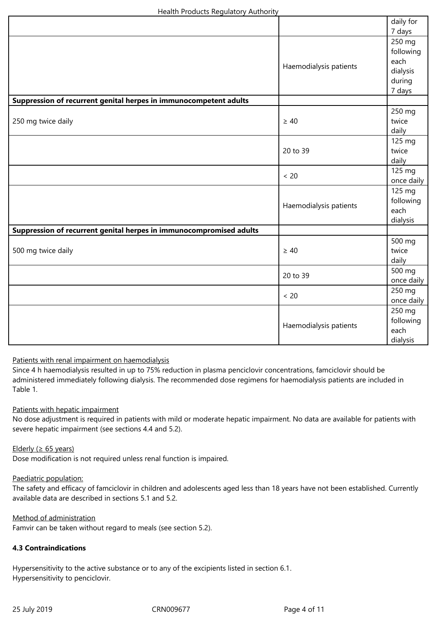|                                                                     |                        | daily for  |
|---------------------------------------------------------------------|------------------------|------------|
|                                                                     |                        | 7 days     |
|                                                                     |                        | 250 mg     |
|                                                                     |                        | following  |
|                                                                     |                        | each       |
|                                                                     | Haemodialysis patients | dialysis   |
|                                                                     |                        | during     |
|                                                                     |                        | 7 days     |
| Suppression of recurrent genital herpes in immunocompetent adults   |                        |            |
|                                                                     |                        | 250 mg     |
| 250 mg twice daily                                                  | $\geq 40$              | twice      |
|                                                                     |                        | daily      |
|                                                                     |                        | 125 mg     |
|                                                                     | 20 to 39               | twice      |
|                                                                     |                        | daily      |
|                                                                     | < 20                   | 125 mg     |
|                                                                     |                        | once daily |
|                                                                     |                        | 125 mg     |
|                                                                     |                        | following  |
|                                                                     | Haemodialysis patients | each       |
|                                                                     |                        | dialysis   |
| Suppression of recurrent genital herpes in immunocompromised adults |                        |            |
|                                                                     |                        | 500 mg     |
| 500 mg twice daily                                                  | $\geq 40$              | twice      |
|                                                                     |                        | daily      |
|                                                                     | 20 to 39               | 500 mg     |
|                                                                     |                        | once daily |
|                                                                     | < 20                   | 250 mg     |
|                                                                     |                        | once daily |
|                                                                     |                        | 250 mg     |
|                                                                     |                        | following  |
|                                                                     | Haemodialysis patients | each       |
|                                                                     |                        | dialysis   |

## Patients with renal impairment on haemodialysis

Since 4 h haemodialysis resulted in up to 75% reduction in plasma penciclovir concentrations, famciclovir should be administered immediately following dialysis. The recommended dose regimens for haemodialysis patients are included in Table 1.

## Patients with hepatic impairment

No dose adjustment is required in patients with mild or moderate hepatic impairment. No data are available for patients with severe hepatic impairment (see sections 4.4 and 5.2).

Elderly ( $\geq 65$  years) Dose modification is not required unless renal function is impaired.

## Paediatric population:

The safety and efficacy of famciclovir in children and adolescents aged less than 18 years have not been established. Currently available data are described in sections 5.1 and 5.2.

Method of administration

Famvir can be taken without regard to meals (see section 5.2).

# **4.3 Contraindications**

Hypersensitivity to the active substance or to any of the excipients listed in section 6.1. Hypersensitivity to penciclovir.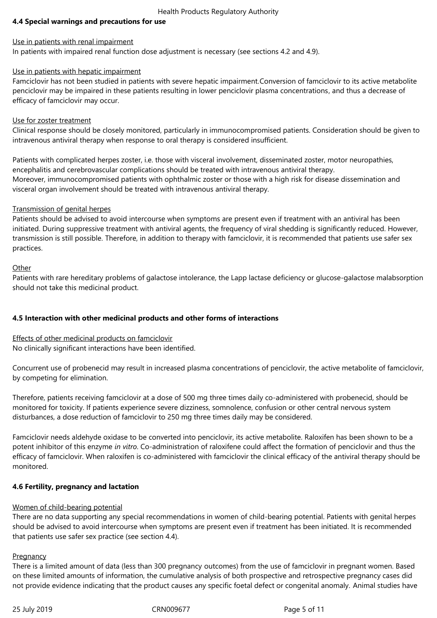## **4.4 Special warnings and precautions for use**

#### Use in patients with renal impairment

In patients with impaired renal function dose adjustment is necessary (see sections 4.2 and 4.9).

## Use in patients with hepatic impairment

Famciclovir has not been studied in patients with severe hepatic impairment.Conversion of famciclovir to its active metabolite penciclovir may be impaired in these patients resulting in lower penciclovir plasma concentrations, and thus a decrease of efficacy of famciclovir may occur.

## Use for zoster treatment

Clinical response should be closely monitored, particularly in immunocompromised patients. Consideration should be given to intravenous antiviral therapy when response to oral therapy is considered insufficient.

Patients with complicated herpes zoster, i.e. those with visceral involvement, disseminated zoster, motor neuropathies, encephalitis and cerebrovascular complications should be treated with intravenous antiviral therapy. Moreover, immunocompromised patients with ophthalmic zoster or those with a high risk for disease dissemination and visceral organ involvement should be treated with intravenous antiviral therapy.

## Transmission of genital herpes

Patients should be advised to avoid intercourse when symptoms are present even if treatment with an antiviral has been initiated. During suppressive treatment with antiviral agents, the frequency of viral shedding is significantly reduced. However, transmission is still possible. Therefore, in addition to therapy with famciclovir, it is recommended that patients use safer sex practices.

## **Other**

Patients with rare hereditary problems of galactose intolerance, the Lapp lactase deficiency or glucose-galactose malabsorption should not take this medicinal product.

# **4.5 Interaction with other medicinal products and other forms of interactions**

# Effects of other medicinal products on famciclovir

No clinically significant interactions have been identified.

Concurrent use of probenecid may result in increased plasma concentrations of penciclovir, the active metabolite of famciclovir, by competing for elimination.

Therefore, patients receiving famciclovir at a dose of 500 mg three times daily co-administered with probenecid, should be monitored for toxicity. If patients experience severe dizziness, somnolence, confusion or other central nervous system disturbances, a dose reduction of famciclovir to 250 mg three times daily may be considered.

Famciclovir needs aldehyde oxidase to be converted into penciclovir, its active metabolite. Raloxifen has been shown to be a potent inhibitor of this enzyme *in vitro*. Co-administration of raloxifene could affect the formation of penciclovir and thus the efficacy of famciclovir. When raloxifen is co-administered with famciclovir the clinical efficacy of the antiviral therapy should be monitored.

# **4.6 Fertility, pregnancy and lactation**

# Women of child-bearing potential

There are no data supporting any special recommendations in women of child-bearing potential. Patients with genital herpes should be advised to avoid intercourse when symptoms are present even if treatment has been initiated. It is recommended that patients use safer sex practice (see section 4.4).

## **Pregnancy**

There is a limited amount of data (less than 300 pregnancy outcomes) from the use of famciclovir in pregnant women. Based on these limited amounts of information, the cumulative analysis of both prospective and retrospective pregnancy cases did not provide evidence indicating that the product causes any specific foetal defect or congenital anomaly. Animal studies have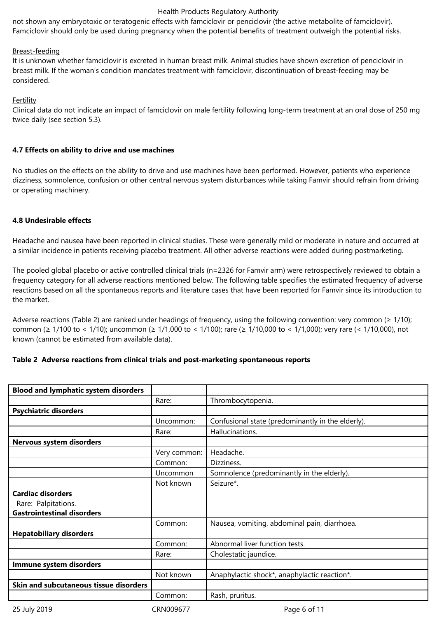not shown any embryotoxic or teratogenic effects with famciclovir or penciclovir (the active metabolite of famciclovir). Famciclovir should only be used during pregnancy when the potential benefits of treatment outweigh the potential risks.

## Breast-feeding

It is unknown whether famciclovir is excreted in human breast milk. Animal studies have shown excretion of penciclovir in breast milk. If the woman's condition mandates treatment with famciclovir, discontinuation of breast-feeding may be considered.

## **Fertility**

Clinical data do not indicate an impact of famciclovir on male fertility following long-term treatment at an oral dose of 250 mg twice daily (see section 5.3).

## **4.7 Effects on ability to drive and use machines**

No studies on the effects on the ability to drive and use machines have been performed. However, patients who experience dizziness, somnolence, confusion or other central nervous system disturbances while taking Famvir should refrain from driving or operating machinery.

## **4.8 Undesirable effects**

Headache and nausea have been reported in clinical studies. These were generally mild or moderate in nature and occurred at a similar incidence in patients receiving placebo treatment. All other adverse reactions were added during postmarketing.

The pooled global placebo or active controlled clinical trials (n=2326 for Famvir arm) were retrospectively reviewed to obtain a frequency category for all adverse reactions mentioned below. The following table specifies the estimated frequency of adverse reactions based on all the spontaneous reports and literature cases that have been reported for Famvir since its introduction to the market.

Adverse reactions (Table 2) are ranked under headings of frequency, using the following convention: very common  $(≥ 1/10)$ ; common (≥ 1/100 to < 1/10); uncommon (≥ 1/1,000 to < 1/100); rare (≥ 1/10,000 to < 1/1,000); very rare (< 1/10,000), not known (cannot be estimated from available data).

## **Table 2 Adverse reactions from clinical trials and post-marketing spontaneous reports**

| <b>Blood and lymphatic system disorders</b> |              |                                                   |
|---------------------------------------------|--------------|---------------------------------------------------|
|                                             | Rare:        | Thrombocytopenia.                                 |
| <b>Psychiatric disorders</b>                |              |                                                   |
|                                             | Uncommon:    | Confusional state (predominantly in the elderly). |
|                                             | Rare:        | Hallucinations.                                   |
| Nervous system disorders                    |              |                                                   |
|                                             | Very common: | Headache.                                         |
|                                             | Common:      | Dizziness.                                        |
|                                             | Uncommon     | Somnolence (predominantly in the elderly).        |
|                                             | Not known    | Seizure*.                                         |
| <b>Cardiac disorders</b>                    |              |                                                   |
| Rare: Palpitations.                         |              |                                                   |
| <b>Gastrointestinal disorders</b>           |              |                                                   |
|                                             | Common:      | Nausea, vomiting, abdominal pain, diarrhoea.      |
| <b>Hepatobiliary disorders</b>              |              |                                                   |
|                                             | Common:      | Abnormal liver function tests.                    |
|                                             | Rare:        | Cholestatic jaundice.                             |
| Immune system disorders                     |              |                                                   |
|                                             | Not known    | Anaphylactic shock*, anaphylactic reaction*.      |
| Skin and subcutaneous tissue disorders      |              |                                                   |
|                                             | Common:      | Rash, pruritus.                                   |

25 July 2019 CRN009677 Page 6 of 11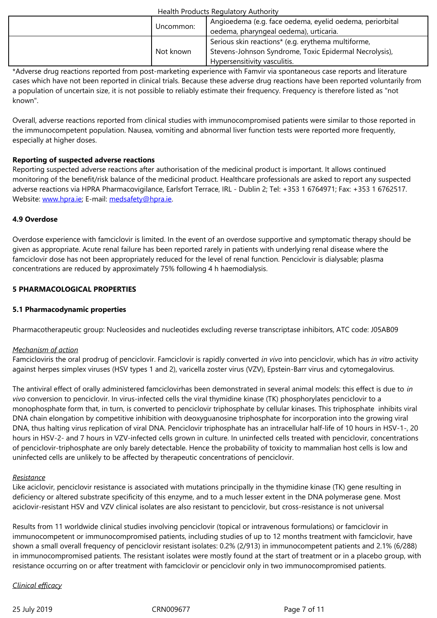| Not known | Serious skin reactions* (e.g. erythema multiforme,<br>Stevens-Johnson Syndrome, Toxic Epidermal Necrolysis),<br>Hypersensitivity vasculitis. |
|-----------|----------------------------------------------------------------------------------------------------------------------------------------------|
|-----------|----------------------------------------------------------------------------------------------------------------------------------------------|

\*Adverse drug reactions reported from post-marketing experience with Famvir via spontaneous case reports and literature cases which have not been reported in clinical trials. Because these adverse drug reactions have been reported voluntarily from a population of uncertain size, it is not possible to reliably estimate their frequency. Frequency is therefore listed as "not known".

Overall, adverse reactions reported from clinical studies with immunocompromised patients were similar to those reported in the immunocompetent population. Nausea, vomiting and abnormal liver function tests were reported more frequently, especially at higher doses.

## **Reporting of suspected adverse reactions**

Reporting suspected adverse reactions after authorisation of the medicinal product is important. It allows continued monitoring of the benefit/risk balance of the medicinal product. Healthcare professionals are asked to report any suspected adverse reactions via HPRA Pharmacovigilance, Earlsfort Terrace, IRL - Dublin 2; Tel: +353 1 6764971; Fax: +353 1 6762517. Website: www.hpra.ie; E-mail: medsafety@hpra.ie.

# **4.9 Overdose**

Overdos[e experience](http://www.hpra.ie/) with fa[mciclovir is limited. In](mailto:medsafety@hpra.ie) the event of an overdose supportive and symptomatic therapy should be given as appropriate. Acute renal failure has been reported rarely in patients with underlying renal disease where the famciclovir dose has not been appropriately reduced for the level of renal function. Penciclovir is dialysable; plasma concentrations are reduced by approximately 75% following 4 h haemodialysis.

# **5 PHARMACOLOGICAL PROPERTIES**

# **5.1 Pharmacodynamic properties**

Pharmacotherapeutic group: Nucleosides and nucleotides excluding reverse transcriptase inhibitors, ATC code: J05AB09

# *Mechanism of action*

Famcicloviris the oral prodrug of penciclovir. Famciclovir is rapidly converted *in vivo* into penciclovir, which has *in vitro* activity against herpes simplex viruses (HSV types 1 and 2), varicella zoster virus (VZV), Epstein-Barr virus and cytomegalovirus.

The antiviral effect of orally administered famciclovirhas been demonstrated in several animal models: this effect is due to *in vivo* conversion to penciclovir. In virus-infected cells the viral thymidine kinase (TK) phosphorylates penciclovir to a monophosphate form that, in turn, is converted to penciclovir triphosphate by cellular kinases. This triphosphate inhibits viral DNA chain elongation by competitive inhibition with deoxyguanosine triphosphate for incorporation into the growing viral DNA, thus halting virus replication of viral DNA. Penciclovir triphosphate has an intracellular half-life of 10 hours in HSV-1-, 20 hours in HSV-2- and 7 hours in VZV-infected cells grown in culture. In uninfected cells treated with penciclovir, concentrations of penciclovir-triphosphate are only barely detectable. Hence the probability of toxicity to mammalian host cells is low and uninfected cells are unlikely to be affected by therapeutic concentrations of penciclovir.

# *Resistance*

Like aciclovir, penciclovir resistance is associated with mutations principally in the thymidine kinase (TK) gene resulting in deficiency or altered substrate specificity of this enzyme, and to a much lesser extent in the DNA polymerase gene. Most aciclovir-resistant HSV and VZV clinical isolates are also resistant to penciclovir, but cross-resistance is not universal

Results from 11 worldwide clinical studies involving penciclovir (topical or intravenous formulations) or famciclovir in immunocompetent or immunocompromised patients, including studies of up to 12 months treatment with famciclovir, have shown a small overall frequency of penciclovir resistant isolates: 0.2% (2/913) in immunocompetent patients and 2.1% (6/288) in immunocompromised patients. The resistant isolates were mostly found at the start of treatment or in a placebo group, with resistance occurring on or after treatment with famciclovir or penciclovir only in two immunocompromised patients.

# *Clinical efficacy*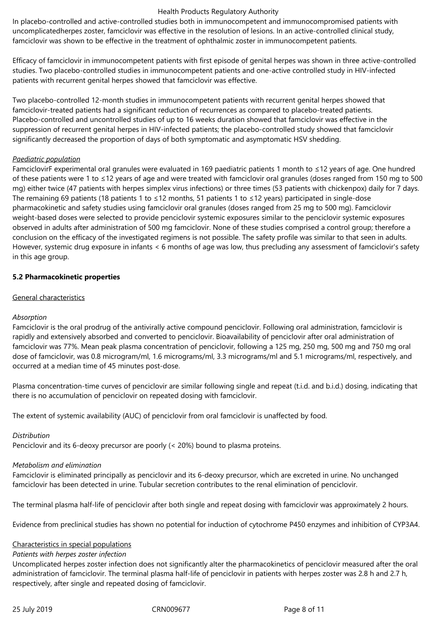In placebo-controlled and active-controlled studies both in immunocompetent and immunocompromised patients with uncomplicatedherpes zoster, famciclovir was effective in the resolution of lesions. In an active-controlled clinical study, famciclovir was shown to be effective in the treatment of ophthalmic zoster in immunocompetent patients.

Efficacy of famciclovir in immunocompetent patients with first episode of genital herpes was shown in three active-controlled studies. Two placebo-controlled studies in immunocompetent patients and one-active controlled study in HIV-infected patients with recurrent genital herpes showed that famciclovir was effective.

Two placebo-controlled 12-month studies in immunocompetent patients with recurrent genital herpes showed that famciclovir-treated patients had a significant reduction of recurrences as compared to placebo-treated patients. Placebo-controlled and uncontrolled studies of up to 16 weeks duration showed that famciclovir was effective in the suppression of recurrent genital herpes in HIV-infected patients; the placebo-controlled study showed that famciclovir significantly decreased the proportion of days of both symptomatic and asymptomatic HSV shedding.

## *Paediatric population*

FamciclovirF experimental oral granules were evaluated in 169 paediatric patients 1 month to ≤12 years of age. One hundred of these patients were 1 to ≤12 years of age and were treated with famciclovir oral granules (doses ranged from 150 mg to 500 mg) either twice (47 patients with herpes simplex virus infections) or three times (53 patients with chickenpox) daily for 7 days. The remaining 69 patients (18 patients 1 to ≤12 months, 51 patients 1 to ≤12 years) participated in single-dose pharmacokinetic and safety studies using famciclovir oral granules (doses ranged from 25 mg to 500 mg). Famciclovir weight-based doses were selected to provide penciclovir systemic exposures similar to the penciclovir systemic exposures observed in adults after administration of 500 mg famciclovir. None of these studies comprised a control group; therefore a conclusion on the efficacy of the investigated regimens is not possible. The safety profile was similar to that seen in adults. However, systemic drug exposure in infants < 6 months of age was low, thus precluding any assessment of famciclovir's safety in this age group.

## **5.2 Pharmacokinetic properties**

## General characteristics

# *Absorption*

Famciclovir is the oral prodrug of the antivirally active compound penciclovir. Following oral administration, famciclovir is rapidly and extensively absorbed and converted to penciclovir. Bioavailability of penciclovir after oral administration of famciclovir was 77%. Mean peak plasma concentration of penciclovir, following a 125 mg, 250 mg, 500 mg and 750 mg oral dose of famciclovir, was 0.8 microgram/ml, 1.6 micrograms/ml, 3.3 micrograms/ml and 5.1 micrograms/ml, respectively, and occurred at a median time of 45 minutes post-dose.

Plasma concentration-time curves of penciclovir are similar following single and repeat (t.i.d. and b.i.d.) dosing, indicating that there is no accumulation of penciclovir on repeated dosing with famciclovir.

The extent of systemic availability (AUC) of penciclovir from oral famciclovir is unaffected by food.

# *Distribution*

Penciclovir and its 6-deoxy precursor are poorly (< 20%) bound to plasma proteins.

## *Metabolism and elimination*

Famciclovir is eliminated principally as penciclovir and its 6-deoxy precursor, which are excreted in urine. No unchanged famciclovir has been detected in urine. Tubular secretion contributes to the renal elimination of penciclovir.

The terminal plasma half-life of penciclovir after both single and repeat dosing with famciclovir was approximately 2 hours.

Evidence from preclinical studies has shown no potential for induction of cytochrome P450 enzymes and inhibition of CYP3A4.

## Characteristics in special populations

## *Patients with herpes zoster infection*

Uncomplicated herpes zoster infection does not significantly alter the pharmacokinetics of penciclovir measured after the oral administration of famciclovir. The terminal plasma half-life of penciclovir in patients with herpes zoster was 2.8 h and 2.7 h, respectively, after single and repeated dosing of famciclovir.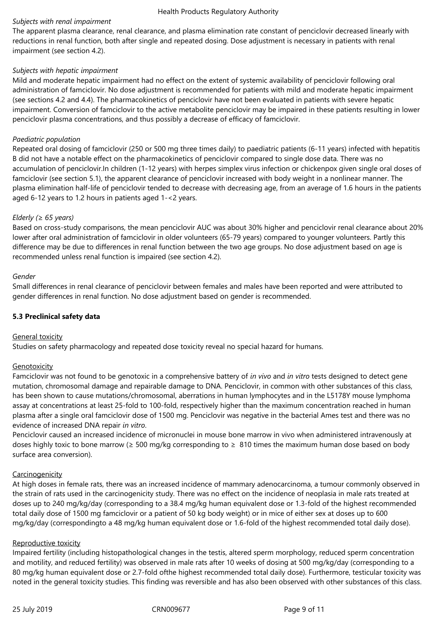# *Subjects with renal impairment*

The apparent plasma clearance, renal clearance, and plasma elimination rate constant of penciclovir decreased linearly with reductions in renal function, both after single and repeated dosing. Dose adjustment is necessary in patients with renal impairment (see section 4.2).

## *Subjects with hepatic impairment*

Mild and moderate hepatic impairment had no effect on the extent of systemic availability of penciclovir following oral administration of famciclovir. No dose adjustment is recommended for patients with mild and moderate hepatic impairment (see sections 4.2 and 4.4). The pharmacokinetics of penciclovir have not been evaluated in patients with severe hepatic impairment. Conversion of famciclovir to the active metabolite penciclovir may be impaired in these patients resulting in lower penciclovir plasma concentrations, and thus possibly a decrease of efficacy of famciclovir.

## *Paediatric population*

Repeated oral dosing of famciclovir (250 or 500 mg three times daily) to paediatric patients (6-11 years) infected with hepatitis B did not have a notable effect on the pharmacokinetics of penciclovir compared to single dose data. There was no accumulation of penciclovir.In children (1-12 years) with herpes simplex virus infection or chickenpox given single oral doses of famciclovir (see section 5.1), the apparent clearance of penciclovir increased with body weight in a nonlinear manner. The plasma elimination half-life of penciclovir tended to decrease with decreasing age, from an average of 1.6 hours in the patients aged 6-12 years to 1.2 hours in patients aged 1-<2 years.

## *Elderly (≥ 65 years)*

Based on cross-study comparisons, the mean penciclovir AUC was about 30% higher and penciclovir renal clearance about 20% lower after oral administration of famciclovir in older volunteers (65‑79 years) compared to younger volunteers. Partly this difference may be due to differences in renal function between the two age groups. No dose adjustment based on age is recommended unless renal function is impaired (see section 4.2).

## *Gender*

Small differences in renal clearance of penciclovir between females and males have been reported and were attributed to gender differences in renal function. No dose adjustment based on gender is recommended.

# **5.3 Preclinical safety data**

## General toxicity

Studies on safety pharmacology and repeated dose toxicity reveal no special hazard for humans.

# Genotoxicity

Famciclovir was not found to be genotoxic in a comprehensive battery of *in vivo* and *in vitro* tests designed to detect gene mutation, chromosomal damage and repairable damage to DNA. Penciclovir, in common with other substances of this class, has been shown to cause mutations/chromosomal, aberrations in human lymphocytes and in the L5178Y mouse lymphoma assay at concentrations at least 25-fold to 100-fold, respectively higher than the maximum concentration reached in human plasma after a single oral famciclovir dose of 1500 mg. Penciclovir was negative in the bacterial Ames test and there was no evidence of increased DNA repair *in vitro*.

Penciclovir caused an increased incidence of micronuclei in mouse bone marrow in vivo when administered intravenously at doses highly toxic to bone marrow ( $\geq$  500 mg/kg corresponding to  $\geq$  810 times the maximum human dose based on body surface area conversion).

## **Carcinogenicity**

At high doses in female rats, there was an increased incidence of mammary adenocarcinoma, a tumour commonly observed in the strain of rats used in the carcinogenicity study. There was no effect on the incidence of neoplasia in male rats treated at doses up to 240 mg/kg/day (corresponding to a 38.4 mg/kg human equivalent dose or 1.3-fold of the highest recommended total daily dose of 1500 mg famciclovir or a patient of 50 kg body weight) or in mice of either sex at doses up to 600 mg/kg/day (correspondingto a 48 mg/kg human equivalent dose or 1.6-fold of the highest recommended total daily dose).

## Reproductive toxicity

Impaired fertility (including histopathological changes in the testis, altered sperm morphology, reduced sperm concentration and motility, and reduced fertility) was observed in male rats after 10 weeks of dosing at 500 mg/kg/day (corresponding to a 80 mg/kg human equivalent dose or 2.7-fold ofthe highest recommended total daily dose). Furthermore, testicular toxicity was noted in the general toxicity studies. This finding was reversible and has also been observed with other substances of this class.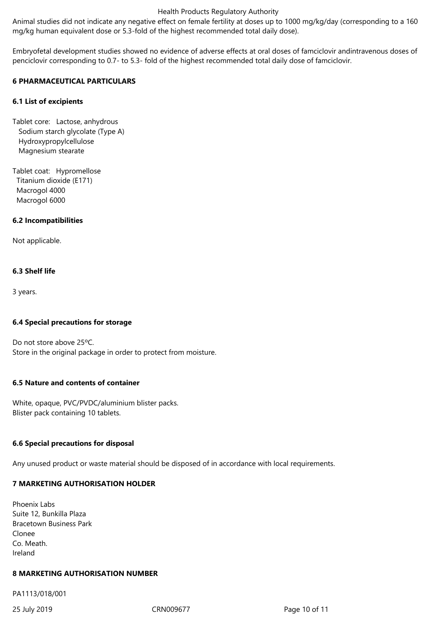Animal studies did not indicate any negative effect on female fertility at doses up to 1000 mg/kg/day (corresponding to a 160 mg/kg human equivalent dose or 5.3-fold of the highest recommended total daily dose).

Embryofetal development studies showed no evidence of adverse effects at oral doses of famciclovir andintravenous doses of penciclovir corresponding to 0.7- to 5.3- fold of the highest recommended total daily dose of famciclovir.

## **6 PHARMACEUTICAL PARTICULARS**

#### **6.1 List of excipients**

Tablet core: Lactose, anhydrous Sodium starch glycolate (Type A) Hydroxypropylcellulose Magnesium stearate

Tablet coat: Hypromellose Titanium dioxide (E171) Macrogol 4000 Macrogol 6000

#### **6.2 Incompatibilities**

Not applicable.

## **6.3 Shelf life**

3 years.

## **6.4 Special precautions for storage**

Do not store above 25ºC. Store in the original package in order to protect from moisture.

# **6.5 Nature and contents of container**

White, opaque, PVC/PVDC/aluminium blister packs. Blister pack containing 10 tablets.

## **6.6 Special precautions for disposal**

Any unused product or waste material should be disposed of in accordance with local requirements.

## **7 MARKETING AUTHORISATION HOLDER**

| <b>Phoenix Labs</b>            |
|--------------------------------|
| Suite 12, Bunkilla Plaza       |
| <b>Bracetown Business Park</b> |
| Clonee                         |
| Co. Meath.                     |
| Ireland                        |

#### **8 MARKETING AUTHORISATION NUMBER**

PA1113/018/001